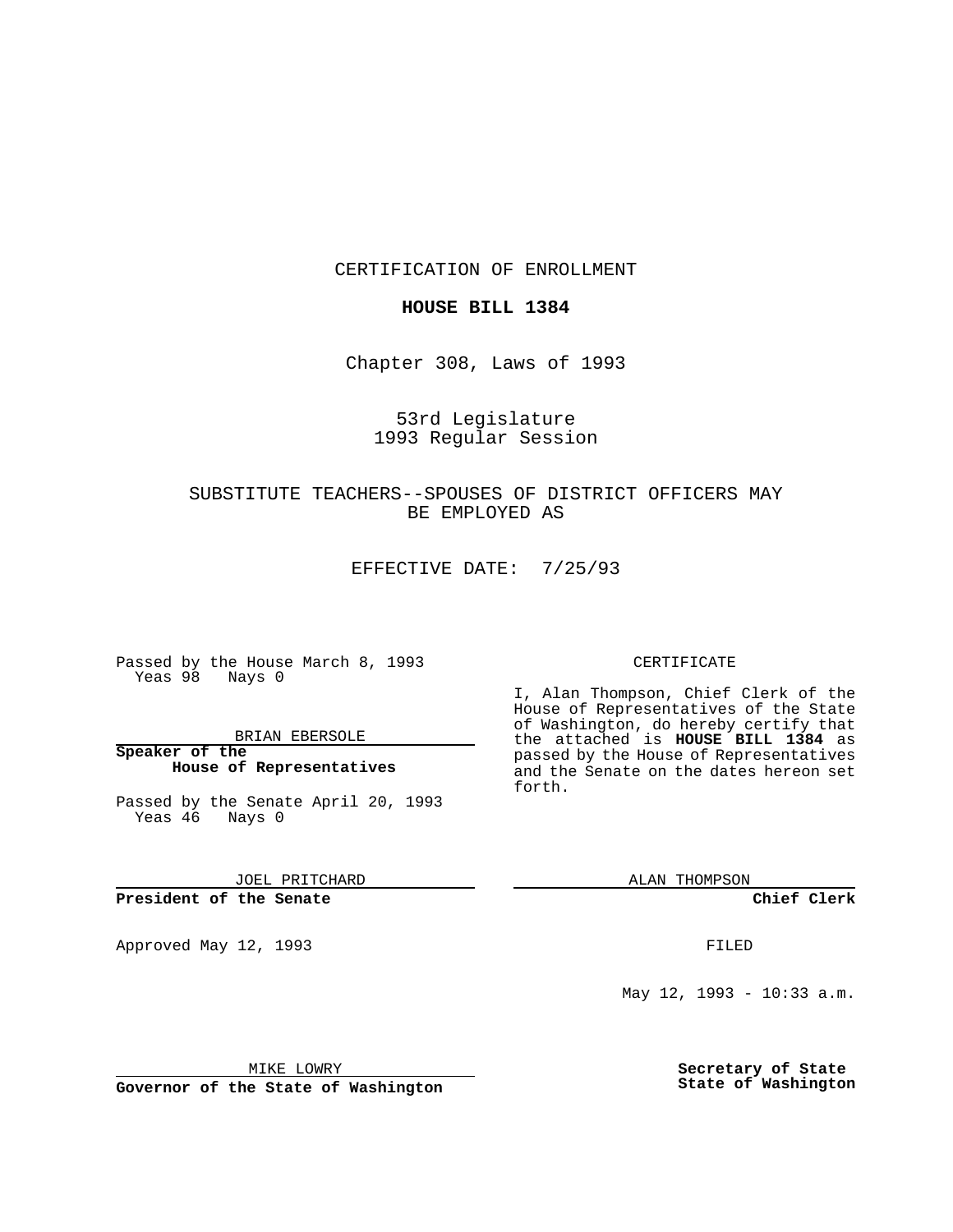CERTIFICATION OF ENROLLMENT

## **HOUSE BILL 1384**

Chapter 308, Laws of 1993

# 53rd Legislature 1993 Regular Session

# SUBSTITUTE TEACHERS--SPOUSES OF DISTRICT OFFICERS MAY BE EMPLOYED AS

EFFECTIVE DATE: 7/25/93

Passed by the House March 8, 1993 Yeas 98 Nays 0

BRIAN EBERSOLE

**Speaker of the House of Representatives**

Passed by the Senate April 20, 1993 Yeas 46 Nays 0

JOEL PRITCHARD

## **President of the Senate**

Approved May 12, 1993 **FILED** 

#### CERTIFICATE

I, Alan Thompson, Chief Clerk of the House of Representatives of the State of Washington, do hereby certify that the attached is **HOUSE BILL 1384** as passed by the House of Representatives and the Senate on the dates hereon set forth.

ALAN THOMPSON

**Chief Clerk**

May 12, 1993 - 10:33 a.m.

MIKE LOWRY

**Governor of the State of Washington**

**Secretary of State State of Washington**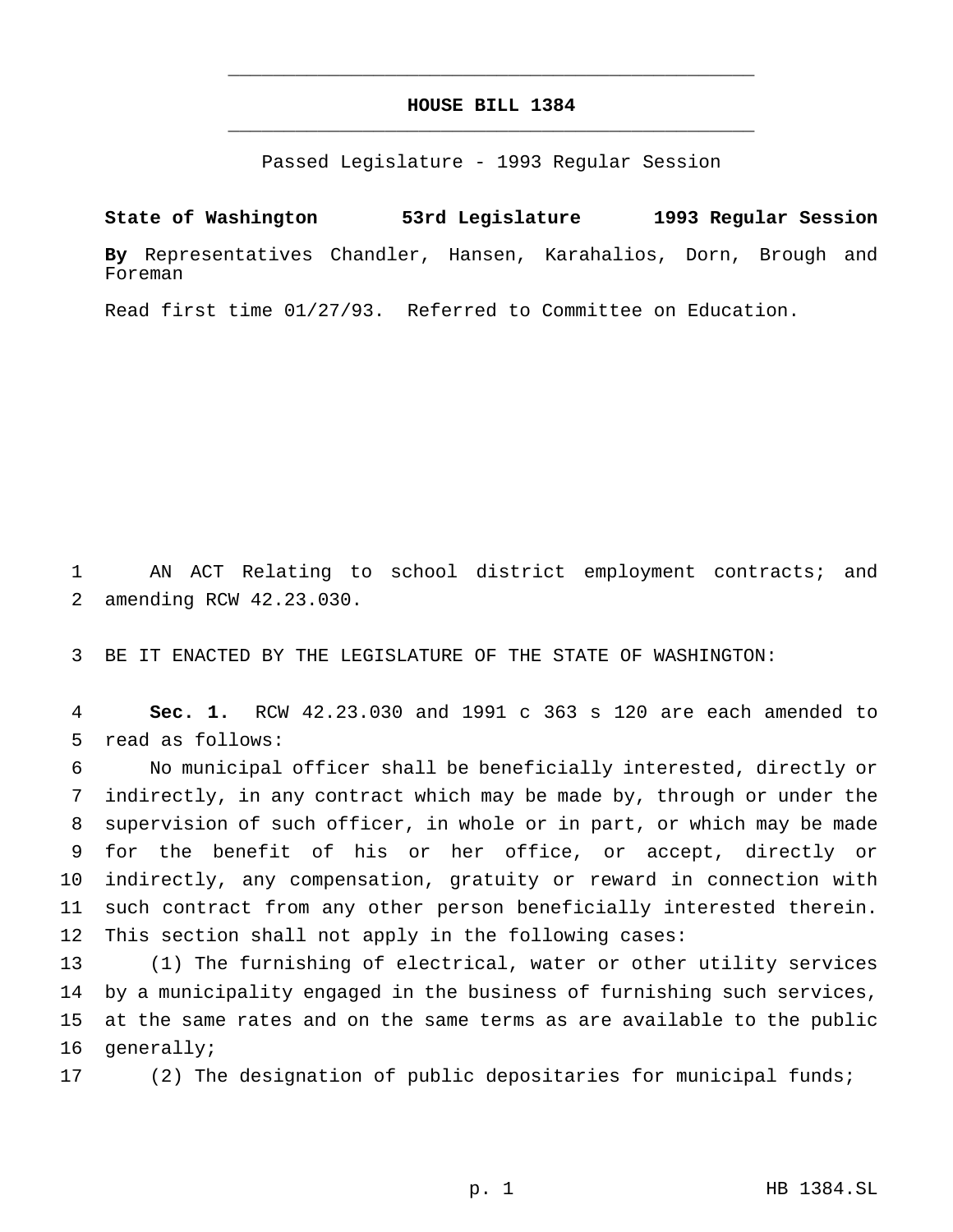# **HOUSE BILL 1384** \_\_\_\_\_\_\_\_\_\_\_\_\_\_\_\_\_\_\_\_\_\_\_\_\_\_\_\_\_\_\_\_\_\_\_\_\_\_\_\_\_\_\_\_\_\_\_

\_\_\_\_\_\_\_\_\_\_\_\_\_\_\_\_\_\_\_\_\_\_\_\_\_\_\_\_\_\_\_\_\_\_\_\_\_\_\_\_\_\_\_\_\_\_\_

Passed Legislature - 1993 Regular Session

**State of Washington 53rd Legislature 1993 Regular Session**

**By** Representatives Chandler, Hansen, Karahalios, Dorn, Brough and Foreman

Read first time 01/27/93. Referred to Committee on Education.

 AN ACT Relating to school district employment contracts; and amending RCW 42.23.030.

BE IT ENACTED BY THE LEGISLATURE OF THE STATE OF WASHINGTON:

 **Sec. 1.** RCW 42.23.030 and 1991 c 363 s 120 are each amended to read as follows:

 No municipal officer shall be beneficially interested, directly or indirectly, in any contract which may be made by, through or under the supervision of such officer, in whole or in part, or which may be made for the benefit of his or her office, or accept, directly or indirectly, any compensation, gratuity or reward in connection with such contract from any other person beneficially interested therein. This section shall not apply in the following cases:

 (1) The furnishing of electrical, water or other utility services by a municipality engaged in the business of furnishing such services, at the same rates and on the same terms as are available to the public generally;

(2) The designation of public depositaries for municipal funds;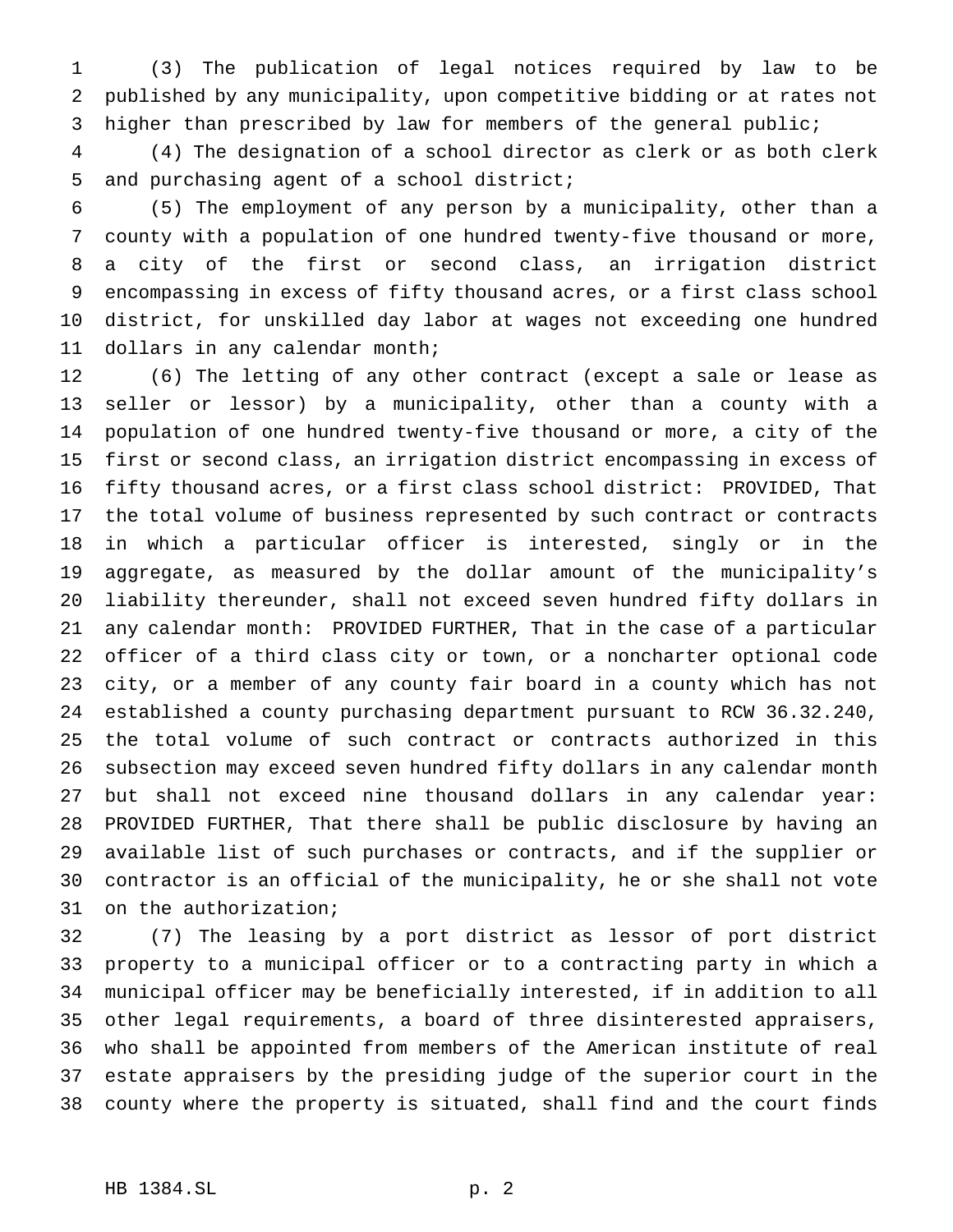(3) The publication of legal notices required by law to be published by any municipality, upon competitive bidding or at rates not higher than prescribed by law for members of the general public;

 (4) The designation of a school director as clerk or as both clerk and purchasing agent of a school district;

 (5) The employment of any person by a municipality, other than a county with a population of one hundred twenty-five thousand or more, a city of the first or second class, an irrigation district encompassing in excess of fifty thousand acres, or a first class school district, for unskilled day labor at wages not exceeding one hundred dollars in any calendar month;

 (6) The letting of any other contract (except a sale or lease as seller or lessor) by a municipality, other than a county with a population of one hundred twenty-five thousand or more, a city of the first or second class, an irrigation district encompassing in excess of fifty thousand acres, or a first class school district: PROVIDED, That the total volume of business represented by such contract or contracts in which a particular officer is interested, singly or in the aggregate, as measured by the dollar amount of the municipality's liability thereunder, shall not exceed seven hundred fifty dollars in any calendar month: PROVIDED FURTHER, That in the case of a particular officer of a third class city or town, or a noncharter optional code city, or a member of any county fair board in a county which has not established a county purchasing department pursuant to RCW 36.32.240, the total volume of such contract or contracts authorized in this subsection may exceed seven hundred fifty dollars in any calendar month but shall not exceed nine thousand dollars in any calendar year: PROVIDED FURTHER, That there shall be public disclosure by having an available list of such purchases or contracts, and if the supplier or contractor is an official of the municipality, he or she shall not vote on the authorization;

 (7) The leasing by a port district as lessor of port district property to a municipal officer or to a contracting party in which a municipal officer may be beneficially interested, if in addition to all other legal requirements, a board of three disinterested appraisers, who shall be appointed from members of the American institute of real estate appraisers by the presiding judge of the superior court in the county where the property is situated, shall find and the court finds